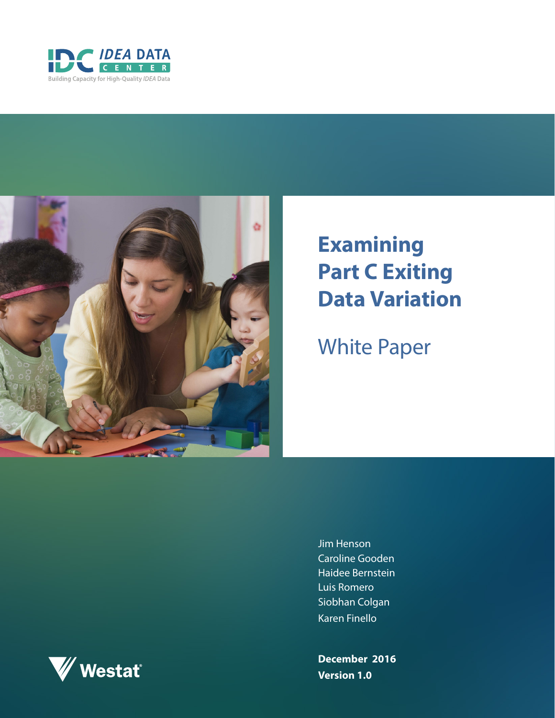



# **Examining Part C Exiting Data Variation**

White Paper

Jim Henson Caroline Gooden Haidee Bernstein Luis Romero Siobhan Colgan Karen Finello

**December 2016 Version 1.0**

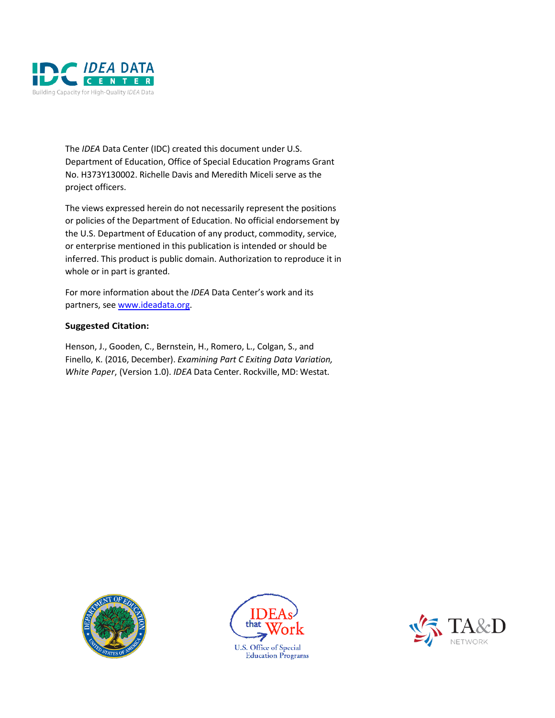

The *IDEA* Data Center (IDC) created this document under U.S. Department of Education, Office of Special Education Programs Grant No. H373Y130002. Richelle Davis and Meredith Miceli serve as the project officers.

The views expressed herein do not necessarily represent the positions or policies of the Department of Education. No official endorsement by the U.S. Department of Education of any product, commodity, service, or enterprise mentioned in this publication is intended or should be inferred. This product is public domain. Authorization to reproduce it in whole or in part is granted.

For more information about the *IDEA* Data Center's work and its partners, see [www.ideadata.org.](http://www.ideadata.org/)

#### **Suggested Citation:**

Henson, J., Gooden, C., Bernstein, H., Romero, L., Colgan, S., and Finello, K. (2016, December). *Examining Part C Exiting Data Variation, White Paper*, (Version 1.0). *IDEA* Data Center. Rockville, MD: Westat.





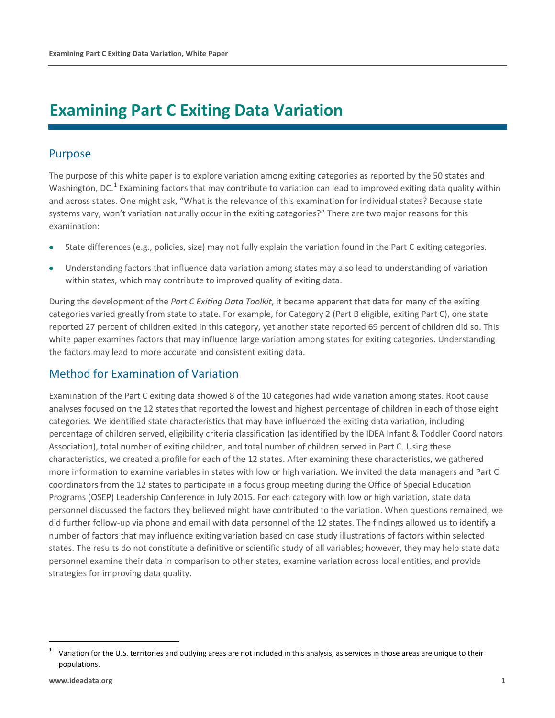## **Examining Part C Exiting Data Variation**

## Purpose

The purpose of this white paper is to explore variation among exiting categories as reported by the 50 states and Washington, DC.<sup>1</sup> Examining factors that may contribute to variation can lead to improved exiting data quality within and across states. One might ask, "What is the relevance of this examination for individual states? Because state systems vary, won't variation naturally occur in the exiting categories?" There are two major reasons for this examination:

- State differences (e.g., policies, size) may not fully explain the variation found in the Part C exiting categories.
- Understanding factors that influence data variation among states may also lead to understanding of variation within states, which may contribute to improved quality of exiting data.

During the development of the *Part C Exiting Data Toolkit*, it became apparent that data for many of the exiting categories varied greatly from state to state. For example, for Category 2 (Part B eligible, exiting Part C), one state reported 27 percent of children exited in this category, yet another state reported 69 percent of children did so. This white paper examines factors that may influence large variation among states for exiting categories. Understanding the factors may lead to more accurate and consistent exiting data.

## Method for Examination of Variation

Examination of the Part C exiting data showed 8 of the 10 categories had wide variation among states. Root cause analyses focused on the 12 states that reported the lowest and highest percentage of children in each of those eight categories. We identified state characteristics that may have influenced the exiting data variation, including percentage of children served, eligibility criteria classification (as identified by the IDEA Infant & Toddler Coordinators Association), total number of exiting children, and total number of children served in Part C. Using these characteristics, we created a profile for each of the 12 states. After examining these characteristics, we gathered more information to examine variables in states with low or high variation. We invited the data managers and Part C coordinators from the 12 states to participate in a focus group meeting during the Office of Special Education Programs (OSEP) Leadership Conference in July 2015. For each category with low or high variation, state data personnel discussed the factors they believed might have contributed to the variation. When questions remained, we did further follow-up via phone and email with data personnel of the 12 states. The findings allowed us to identify a number of factors that may influence exiting variation based on case study illustrations of factors within selected states. The results do not constitute a definitive or scientific study of all variables; however, they may help state data personnel examine their data in comparison to other states, examine variation across local entities, and provide strategies for improving data quality.

 $\overline{a}$ 

<sup>1</sup> Variation for the U.S. territories and outlying areas are not included in this analysis, as services in those areas are unique to their populations.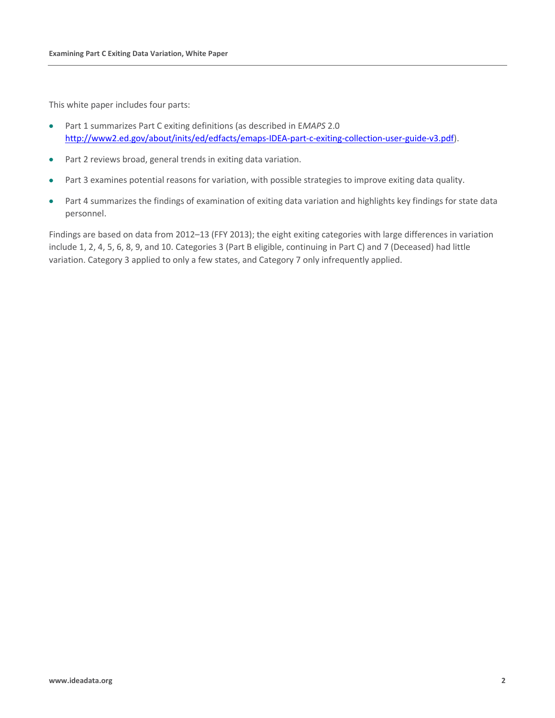This white paper includes four parts:

- Part 1 summarizes Part C exiting definitions (as described in E*MAPS* 2.0 [http://www2.ed.gov/about/inits/ed/edfacts/emaps-IDEA-part-c-exiting-collection-user-guide-v3.pdf\)](http://www2.ed.gov/about/inits/ed/edfacts/emaps-idea-part-c-exiting-collection-user-guide-v3.pdf).
- Part 2 reviews broad, general trends in exiting data variation.
- Part 3 examines potential reasons for variation, with possible strategies to improve exiting data quality.
- Part 4 summarizes the findings of examination of exiting data variation and highlights key findings for state data personnel.

Findings are based on data from 2012–13 (FFY 2013); the eight exiting categories with large differences in variation include 1, 2, 4, 5, 6, 8, 9, and 10. Categories 3 (Part B eligible, continuing in Part C) and 7 (Deceased) had little variation. Category 3 applied to only a few states, and Category 7 only infrequently applied.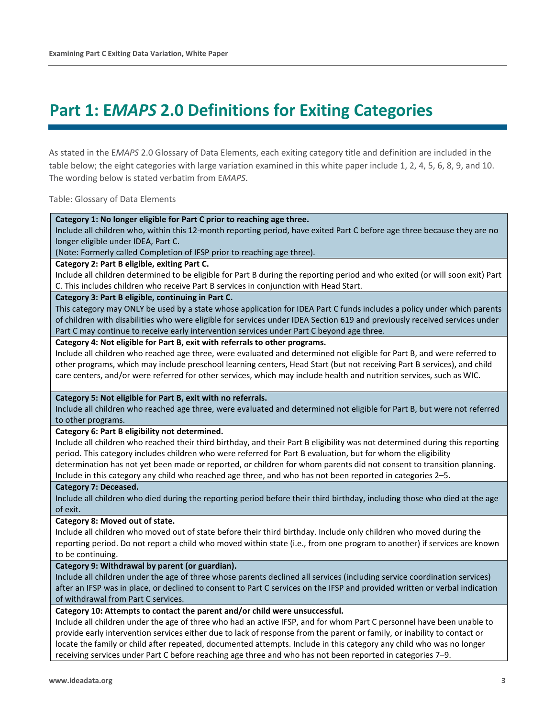## **Part 1: E***MAPS* **2.0 Definitions for Exiting Categories**

As stated in the E*MAPS* 2.0 Glossary of Data Elements, each exiting category title and definition are included in the table below; the eight categories with large variation examined in this white paper include 1, 2, 4, 5, 6, 8, 9, and 10. The wording below is stated verbatim from E*MAPS*.

Table: Glossary of Data Elements

**Category 1: No longer eligible for Part C prior to reaching age three.**

Include all children who, within this 12-month reporting period, have exited Part C before age three because they are no longer eligible under IDEA, Part C.

(Note: Formerly called Completion of IFSP prior to reaching age three).

**Category 2: Part B eligible, exiting Part C.**

Include all children determined to be eligible for Part B during the reporting period and who exited (or will soon exit) Part C. This includes children who receive Part B services in conjunction with Head Start.

**Category 3: Part B eligible, continuing in Part C.**

This category may ONLY be used by a state whose application for IDEA Part C funds includes a policy under which parents of children with disabilities who were eligible for services under IDEA Section 619 and previously received services under Part C may continue to receive early intervention services under Part C beyond age three.

**Category 4: Not eligible for Part B, exit with referrals to other programs.**

Include all children who reached age three, were evaluated and determined not eligible for Part B, and were referred to other programs, which may include preschool learning centers, Head Start (but not receiving Part B services), and child care centers, and/or were referred for other services, which may include health and nutrition services, such as WIC.

**Category 5: Not eligible for Part B, exit with no referrals.**

Include all children who reached age three, were evaluated and determined not eligible for Part B, but were not referred to other programs.

**Category 6: Part B eligibility not determined.**

Include all children who reached their third birthday, and their Part B eligibility was not determined during this reporting period. This category includes children who were referred for Part B evaluation, but for whom the eligibility determination has not yet been made or reported, or children for whom parents did not consent to transition planning. Include in this category any child who reached age three, and who has not been reported in categories 2–5.

#### **Category 7: Deceased.**

Include all children who died during the reporting period before their third birthday, including those who died at the age of exit.

#### **Category 8: Moved out of state.**

Include all children who moved out of state before their third birthday. Include only children who moved during the reporting period. Do not report a child who moved within state (i.e., from one program to another) if services are known to be continuing.

#### **Category 9: Withdrawal by parent (or guardian).**

Include all children under the age of three whose parents declined all services (including service coordination services) after an IFSP was in place, or declined to consent to Part C services on the IFSP and provided written or verbal indication of withdrawal from Part C services.

#### **Category 10: Attempts to contact the parent and/or child were unsuccessful.**

Include all children under the age of three who had an active IFSP, and for whom Part C personnel have been unable to provide early intervention services either due to lack of response from the parent or family, or inability to contact or locate the family or child after repeated, documented attempts. Include in this category any child who was no longer receiving services under Part C before reaching age three and who has not been reported in categories 7–9.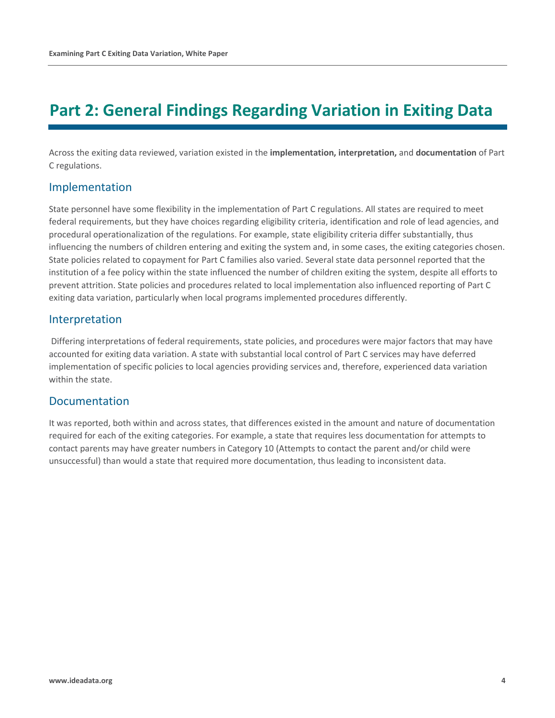## **Part 2: General Findings Regarding Variation in Exiting Data**

Across the exiting data reviewed, variation existed in the **implementation, interpretation,** and **documentation** of Part C regulations.

### Implementation

State personnel have some flexibility in the implementation of Part C regulations. All states are required to meet federal requirements, but they have choices regarding eligibility criteria, identification and role of lead agencies, and procedural operationalization of the regulations. For example, state eligibility criteria differ substantially, thus influencing the numbers of children entering and exiting the system and, in some cases, the exiting categories chosen. State policies related to copayment for Part C families also varied. Several state data personnel reported that the institution of a fee policy within the state influenced the number of children exiting the system, despite all efforts to prevent attrition. State policies and procedures related to local implementation also influenced reporting of Part C exiting data variation, particularly when local programs implemented procedures differently.

## Interpretation

Differing interpretations of federal requirements, state policies, and procedures were major factors that may have accounted for exiting data variation. A state with substantial local control of Part C services may have deferred implementation of specific policies to local agencies providing services and, therefore, experienced data variation within the state.

## Documentation

It was reported, both within and across states, that differences existed in the amount and nature of documentation required for each of the exiting categories. For example, a state that requires less documentation for attempts to contact parents may have greater numbers in Category 10 (Attempts to contact the parent and/or child were unsuccessful) than would a state that required more documentation, thus leading to inconsistent data.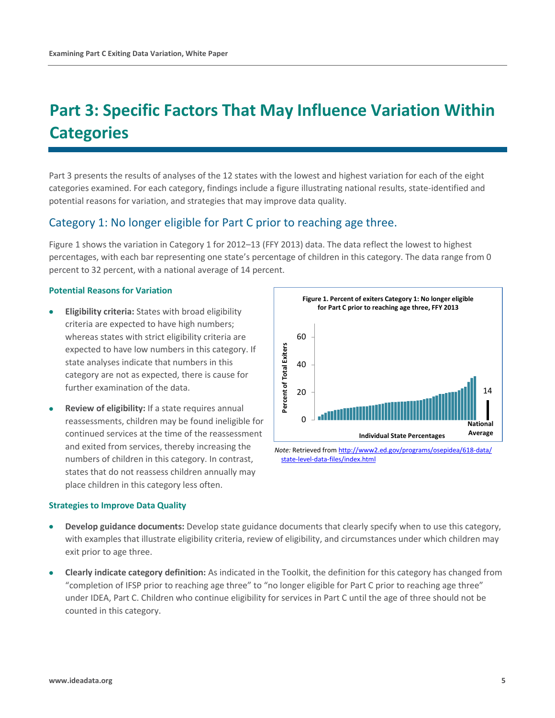## **Part 3: Specific Factors That May Influence Variation Within Categories**

Part 3 presents the results of analyses of the 12 states with the lowest and highest variation for each of the eight categories examined. For each category, findings include a figure illustrating national results, state-identified and potential reasons for variation, and strategies that may improve data quality.

### Category 1: No longer eligible for Part C prior to reaching age three.

Figure 1 shows the variation in Category 1 for 2012–13 (FFY 2013) data. The data reflect the lowest to highest percentages, with each bar representing one state's percentage of children in this category. The data range from 0 percent to 32 percent, with a national average of 14 percent.

#### **Potential Reasons for Variation**

- **Eligibility criteria:** States with broad eligibility criteria are expected to have high numbers; whereas states with strict eligibility criteria are expected to have low numbers in this category. If state analyses indicate that numbers in this category are not as expected, there is cause for further examination of the data.
- **Review of eligibility:** If a state requires annual reassessments, children may be found ineligible for continued services at the time of the reassessment and exited from services, thereby increasing the numbers of children in this category. In contrast, states that do not reassess children annually may place children in this category less often.



[state-level-data-files/index.html](http://www2.ed.gov/programs/osepidea/618-data/state-level-data-files/index.html)

- **Develop guidance documents:** Develop state guidance documents that clearly specify when to use this category, with examples that illustrate eligibility criteria, review of eligibility, and circumstances under which children may exit prior to age three.
- **Clearly indicate category definition:** As indicated in the Toolkit, the definition for this category has changed from "completion of IFSP prior to reaching age three" to "no longer eligible for Part C prior to reaching age three" under IDEA, Part C. Children who continue eligibility for services in Part C until the age of three should not be counted in this category.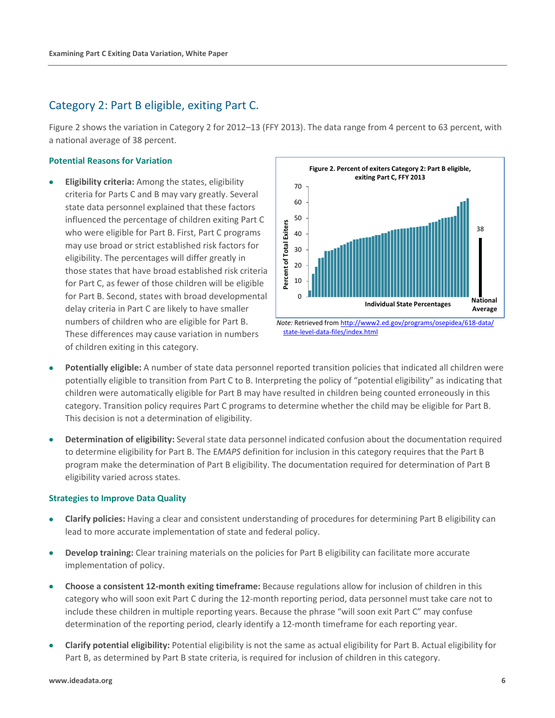### Category 2: Part B eligible, exiting Part C.

Figure 2 shows the variation in Category 2 for 2012–13 (FFY 2013). The data range from 4 percent to 63 percent, with a national average of 38 percent.

#### **Potential Reasons for Variation**

• **Eligibility criteria:** Among the states, eligibility criteria for Parts C and B may vary greatly. Several state data personnel explained that these factors influenced the percentage of children exiting Part C who were eligible for Part B. First, Part C programs may use broad or strict established risk factors for eligibility. The percentages will differ greatly in those states that have broad established risk criteria for Part C, as fewer of those children will be eligible for Part B. Second, states with broad developmental delay criteria in Part C are likely to have smaller numbers of children who are eligible for Part B. These differences may cause variation in numbers of children exiting in this category.



- **Potentially eligible:** A number of state data personnel reported transition policies that indicated all children were potentially eligible to transition from Part C to B. Interpreting the policy of "potential eligibility" as indicating that children were automatically eligible for Part B may have resulted in children being counted erroneously in this category. Transition policy requires Part C programs to determine whether the child may be eligible for Part B. This decision is not a determination of eligibility.
- **Determination of eligibility:** Several state data personnel indicated confusion about the documentation required to determine eligibility for Part B. The E*MAPS* definition for inclusion in this category requires that the Part B program make the determination of Part B eligibility. The documentation required for determination of Part B eligibility varied across states.

- **Clarify policies:** Having a clear and consistent understanding of procedures for determining Part B eligibility can lead to more accurate implementation of state and federal policy.
- **Develop training:** Clear training materials on the policies for Part B eligibility can facilitate more accurate implementation of policy.
- **Choose a consistent 12-month exiting timeframe:** Because regulations allow for inclusion of children in this category who will soon exit Part C during the 12-month reporting period, data personnel must take care not to include these children in multiple reporting years. Because the phrase "will soon exit Part C" may confuse determination of the reporting period, clearly identify a 12-month timeframe for each reporting year.
- **Clarify potential eligibility:** Potential eligibility is not the same as actual eligibility for Part B. Actual eligibility for Part B, as determined by Part B state criteria, is required for inclusion of children in this category.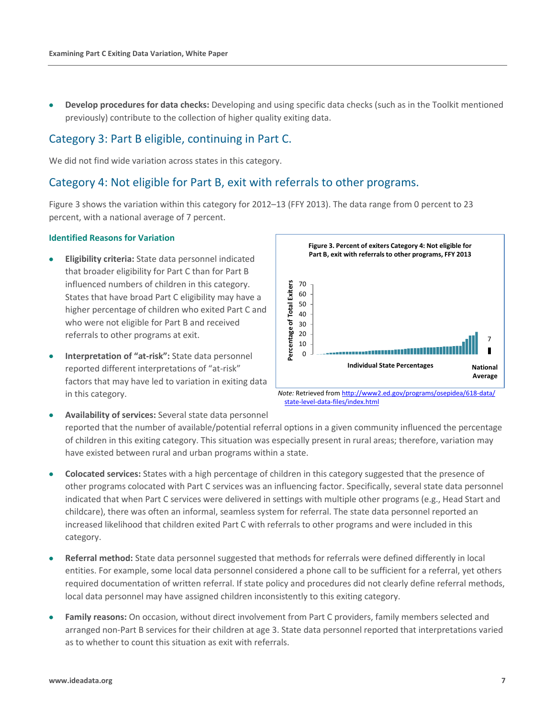• **Develop procedures for data checks:** Developing and using specific data checks (such as in the Toolkit mentioned previously) contribute to the collection of higher quality exiting data.

### Category 3: Part B eligible, continuing in Part C.

We did not find wide variation across states in this category.

### Category 4: Not eligible for Part B, exit with referrals to other programs.

Figure 3 shows the variation within this category for 2012–13 (FFY 2013). The data range from 0 percent to 23 percent, with a national average of 7 percent.

#### **Identified Reasons for Variation**

- **Eligibility criteria:** State data personnel indicated that broader eligibility for Part C than for Part B influenced numbers of children in this category. States that have broad Part C eligibility may have a higher percentage of children who exited Part C and who were not eligible for Part B and received referrals to other programs at exit.
- **Interpretation of "at-risk":** State data personnel reported different interpretations of "at-risk" factors that may have led to variation in exiting data in this category.



*Note:* Retrieved fro[m http://www2.ed.gov/programs/osepidea/618-data/](http://www2.ed.gov/programs/osepidea/618-data/state-level-data-files/index.html) [state-level-data-files/index.html](http://www2.ed.gov/programs/osepidea/618-data/state-level-data-files/index.html)

• **Availability of services:** Several state data personnel reported that the number of available/potential referral options in a given community influenced the percentage of children in this exiting category. This situation was especially present in rural areas; therefore, variation may have existed between rural and urban programs within a state.

- **Colocated services:** States with a high percentage of children in this category suggested that the presence of other programs colocated with Part C services was an influencing factor. Specifically, several state data personnel indicated that when Part C services were delivered in settings with multiple other programs (e.g., Head Start and childcare), there was often an informal, seamless system for referral. The state data personnel reported an increased likelihood that children exited Part C with referrals to other programs and were included in this category.
- **Referral method:** State data personnel suggested that methods for referrals were defined differently in local entities. For example, some local data personnel considered a phone call to be sufficient for a referral, yet others required documentation of written referral. If state policy and procedures did not clearly define referral methods, local data personnel may have assigned children inconsistently to this exiting category.
- **Family reasons:** On occasion, without direct involvement from Part C providers, family members selected and arranged non-Part B services for their children at age 3. State data personnel reported that interpretations varied as to whether to count this situation as exit with referrals.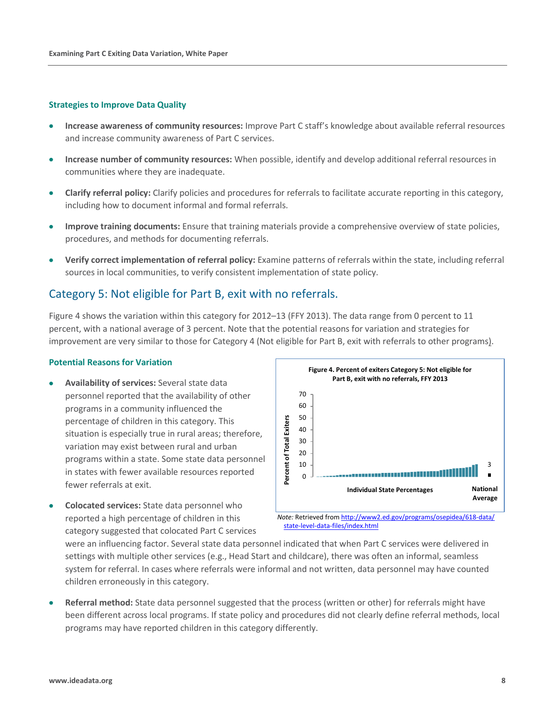#### **Strategies to Improve Data Quality**

- **Increase awareness of community resources:** Improve Part C staff's knowledge about available referral resources and increase community awareness of Part C services.
- **Increase number of community resources:** When possible, identify and develop additional referral resources in communities where they are inadequate.
- **Clarify referral policy:** Clarify policies and procedures for referrals to facilitate accurate reporting in this category, including how to document informal and formal referrals.
- **Improve training documents:** Ensure that training materials provide a comprehensive overview of state policies, procedures, and methods for documenting referrals.
- **Verify correct implementation of referral policy:** Examine patterns of referrals within the state, including referral sources in local communities, to verify consistent implementation of state policy.

## Category 5: Not eligible for Part B, exit with no referrals.

Figure 4 shows the variation within this category for 2012–13 (FFY 2013). The data range from 0 percent to 11 percent, with a national average of 3 percent. Note that the potential reasons for variation and strategies for improvement are very similar to those for Category 4 (Not eligible for Part B, exit with referrals to other programs).

#### **Potential Reasons for Variation**

- **Availability of services:** Several state data personnel reported that the availability of other programs in a community influenced the percentage of children in this category. This situation is especially true in rural areas; therefore, variation may exist between rural and urban programs within a state. Some state data personnel in states with fewer available resources reported fewer referrals at exit.
- **Colocated services:** State data personnel who reported a high percentage of children in this category suggested that colocated Part C services



*Note:* Retrieved fro[m http://www2.ed.gov/programs/osepidea/618-data/](http://www2.ed.gov/programs/osepidea/618-data/state-level-data-files/index.html) [state-level-data-files/index.html](http://www2.ed.gov/programs/osepidea/618-data/state-level-data-files/index.html)

were an influencing factor. Several state data personnel indicated that when Part C services were delivered in settings with multiple other services (e.g., Head Start and childcare), there was often an informal, seamless system for referral. In cases where referrals were informal and not written, data personnel may have counted children erroneously in this category.

• **Referral method:** State data personnel suggested that the process (written or other) for referrals might have been different across local programs. If state policy and procedures did not clearly define referral methods, local programs may have reported children in this category differently.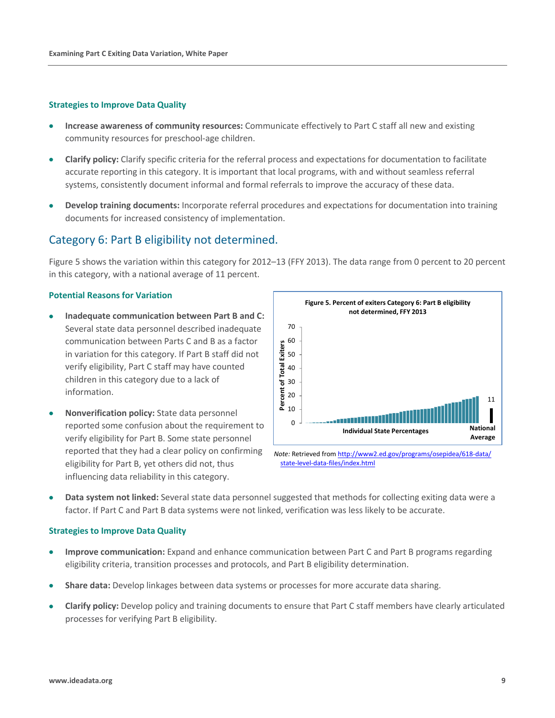#### **Strategies to Improve Data Quality**

- **Increase awareness of community resources:** Communicate effectively to Part C staff all new and existing community resources for preschool-age children.
- **Clarify policy:** Clarify specific criteria for the referral process and expectations for documentation to facilitate accurate reporting in this category. It is important that local programs, with and without seamless referral systems, consistently document informal and formal referrals to improve the accuracy of these data.
- **Develop training documents:** Incorporate referral procedures and expectations for documentation into training documents for increased consistency of implementation.

## Category 6: Part B eligibility not determined.

Figure 5 shows the variation within this category for 2012–13 (FFY 2013). The data range from 0 percent to 20 percent in this category, with a national average of 11 percent.

#### **Potential Reasons for Variation**

- **Inadequate communication between Part B and C:**  Several state data personnel described inadequate communication between Parts C and B as a factor in variation for this category. If Part B staff did not verify eligibility, Part C staff may have counted children in this category due to a lack of information.
- **Nonverification policy:** State data personnel reported some confusion about the requirement to verify eligibility for Part B. Some state personnel reported that they had a clear policy on confirming eligibility for Part B, yet others did not, thus influencing data reliability in this category.



*Note:* Retrieved from [http://www2.ed.gov/programs/osepidea/618-data/](http://www2.ed.gov/programs/osepidea/618-data/state-level-data-files/index.html) [state-level-data-files/index.html](http://www2.ed.gov/programs/osepidea/618-data/state-level-data-files/index.html)

• **Data system not linked:** Several state data personnel suggested that methods for collecting exiting data were a factor. If Part C and Part B data systems were not linked, verification was less likely to be accurate.

- **Improve communication:** Expand and enhance communication between Part C and Part B programs regarding eligibility criteria, transition processes and protocols, and Part B eligibility determination.
- **Share data:** Develop linkages between data systems or processes for more accurate data sharing.
- **Clarify policy:** Develop policy and training documents to ensure that Part C staff members have clearly articulated processes for verifying Part B eligibility.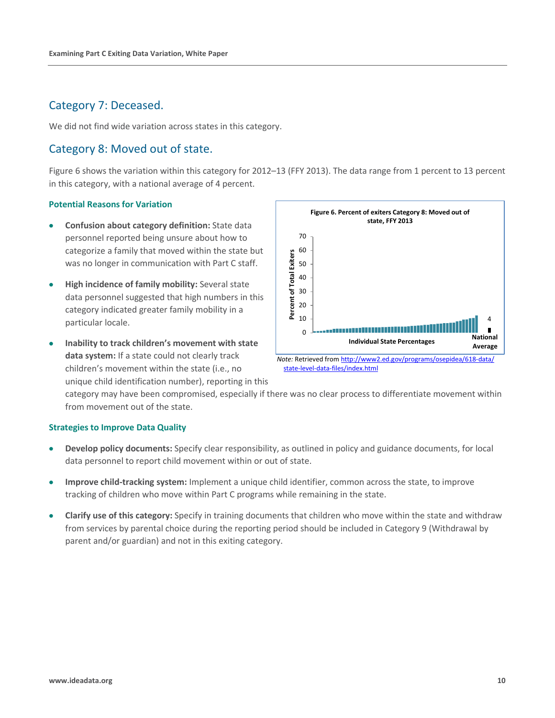## Category 7: Deceased.

We did not find wide variation across states in this category.

## Category 8: Moved out of state.

Figure 6 shows the variation within this category for 2012–13 (FFY 2013). The data range from 1 percent to 13 percent in this category, with a national average of 4 percent.

#### **Potential Reasons for Variation**

- **Confusion about category definition:** State data personnel reported being unsure about how to categorize a family that moved within the state but was no longer in communication with Part C staff.
- **High incidence of family mobility:** Several state data personnel suggested that high numbers in this category indicated greater family mobility in a particular locale.
- **Inability to track children's movement with state data system:** If a state could not clearly track children's movement within the state (i.e., no unique child identification number), reporting in this



[state-level-data-files/index.html](http://www2.ed.gov/programs/osepidea/618-data/state-level-data-files/index.html)

category may have been compromised, especially if there was no clear process to differentiate movement within from movement out of the state.

- **Develop policy documents:** Specify clear responsibility, as outlined in policy and guidance documents, for local data personnel to report child movement within or out of state.
- **Improve child-tracking system:** Implement a unique child identifier, common across the state, to improve tracking of children who move within Part C programs while remaining in the state.
- **Clarify use of this category:** Specify in training documents that children who move within the state and withdraw from services by parental choice during the reporting period should be included in Category 9 (Withdrawal by parent and/or guardian) and not in this exiting category.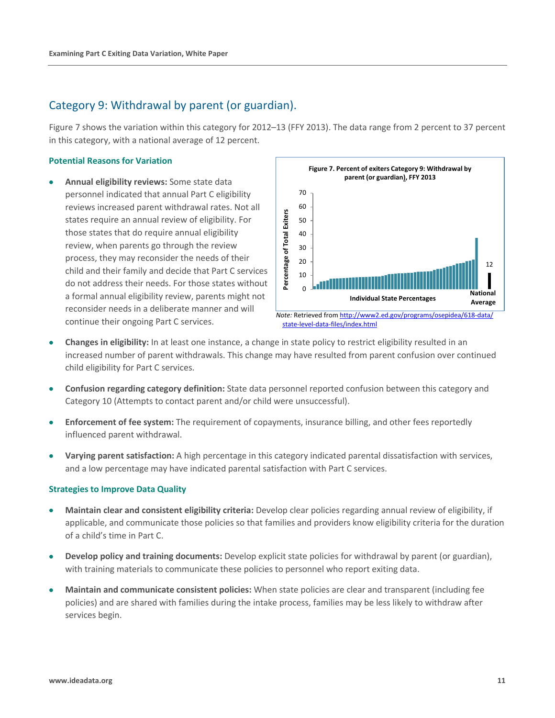## Category 9: Withdrawal by parent (or guardian).

Figure 7 shows the variation within this category for 2012–13 (FFY 2013). The data range from 2 percent to 37 percent in this category, with a national average of 12 percent.

#### **Potential Reasons for Variation**

• **Annual eligibility reviews:** Some state data personnel indicated that annual Part C eligibility reviews increased parent withdrawal rates. Not all states require an annual review of eligibility. For those states that do require annual eligibility review, when parents go through the review process, they may reconsider the needs of their child and their family and decide that Part C services do not address their needs. For those states without a formal annual eligibility review, parents might not reconsider needs in a deliberate manner and will continue their ongoing Part C services.



- **Changes in eligibility:** In at least one instance, a change in state policy to restrict eligibility resulted in an increased number of parent withdrawals. This change may have resulted from parent confusion over continued child eligibility for Part C services.
- **Confusion regarding category definition:** State data personnel reported confusion between this category and Category 10 (Attempts to contact parent and/or child were unsuccessful).
- **Enforcement of fee system:** The requirement of copayments, insurance billing, and other fees reportedly influenced parent withdrawal.
- **Varying parent satisfaction:** A high percentage in this category indicated parental dissatisfaction with services, and a low percentage may have indicated parental satisfaction with Part C services.

- **Maintain clear and consistent eligibility criteria:** Develop clear policies regarding annual review of eligibility, if applicable, and communicate those policies so that families and providers know eligibility criteria for the duration of a child's time in Part C.
- **Develop policy and training documents:** Develop explicit state policies for withdrawal by parent (or guardian), with training materials to communicate these policies to personnel who report exiting data.
- **Maintain and communicate consistent policies:** When state policies are clear and transparent (including fee policies) and are shared with families during the intake process, families may be less likely to withdraw after services begin.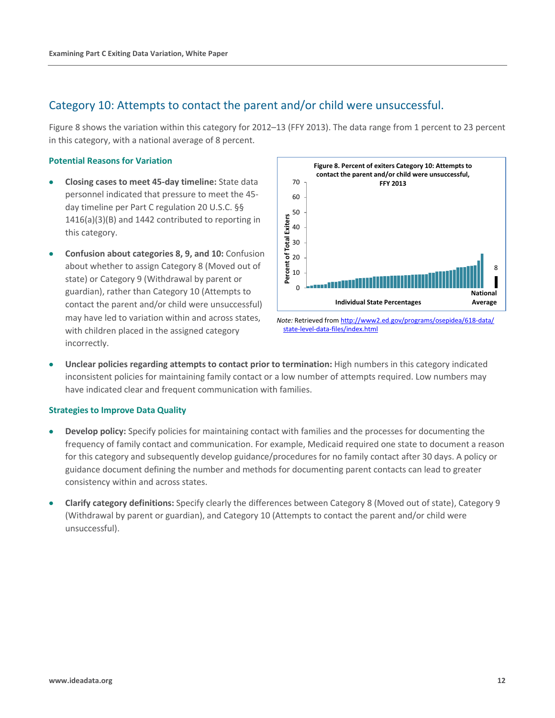## Category 10: Attempts to contact the parent and/or child were unsuccessful.

Figure 8 shows the variation within this category for 2012–13 (FFY 2013). The data range from 1 percent to 23 percent in this category, with a national average of 8 percent.

#### **Potential Reasons for Variation**

- **Closing cases to meet 45-day timeline:** State data personnel indicated that pressure to meet the 45 day timeline per Part C regulation 20 U.S.C. §§ 1416(a)(3)(B) and 1442 contributed to reporting in this category.
- **Confusion about categories 8, 9, and 10:** Confusion about whether to assign Category 8 (Moved out of state) or Category 9 (Withdrawal by parent or guardian), rather than Category 10 (Attempts to contact the parent and/or child were unsuccessful) may have led to variation within and across states, with children placed in the assigned category incorrectly.



*Note:* Retrieved fro[m http://www2.ed.gov/programs/osepidea/618-data/](http://www2.ed.gov/programs/osepidea/618-data/state-level-data-files/index.html) [state-level-data-files/index.html](http://www2.ed.gov/programs/osepidea/618-data/state-level-data-files/index.html)

• **Unclear policies regarding attempts to contact prior to termination:** High numbers in this category indicated inconsistent policies for maintaining family contact or a low number of attempts required. Low numbers may have indicated clear and frequent communication with families.

- **Develop policy:** Specify policies for maintaining contact with families and the processes for documenting the frequency of family contact and communication. For example, Medicaid required one state to document a reason for this category and subsequently develop guidance/procedures for no family contact after 30 days. A policy or guidance document defining the number and methods for documenting parent contacts can lead to greater consistency within and across states.
- **Clarify category definitions:** Specify clearly the differences between Category 8 (Moved out of state), Category 9 (Withdrawal by parent or guardian), and Category 10 (Attempts to contact the parent and/or child were unsuccessful).